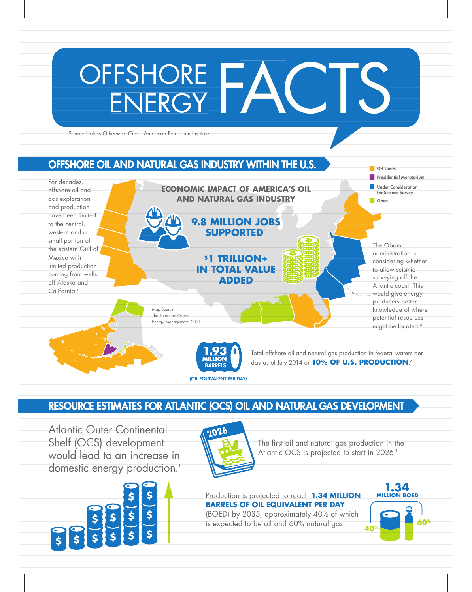#### OFFSHORE **FACTS** For decades, offshore oil and gas exploration and production have been limited to the central western and a small portion of the eastern Gulf of Mexico with limited production coming from wells off Alaska and California.<sup>1</sup> Source Unless Otherwise Cited: American Petroleum Institute The Obama administration is considering whether to allow seismic surveying off the Atlantic coast. This would give energy producers better knowledge of where potential resources might be located.<sup>4</sup> OFFSHORE OIL AND NATURAL GAS INDUSTRY WITHIN THE U.S. Total offshore oil and natural gas production in federal waters per day as of July 2014 or **10% OF U.S. PRODUCTION**. 3 **Off Limits Presidential Moratorium Under Consideration** for Seismic Survey **Open 1.93 MILLION**  BARRELS **9.8 MILLION JOBS SUPPORTED**<sup>2</sup> **\$1 TRILLION+ IN TOTAL VALUE ADDED ECONOMIC IMPACT OF AMERICA'S OIL AND NATURAL GAS INDUSTRY** California.<sup>1</sup><br>Map Source:<br>The Bureau of Ocean<br>Energy Management, 2011.<br>**Total offshore oil and natural gas production in federal was of the 2014 or 10% OF U.S. PRODUCTIO** ECONOMIC IMPACT OF AMERICA'S OIL<br>
AND NATURAL GAS INDUSTRY<br> **SAMILLION JOBS**<br>
SUPPORTED<br>
STITRILLION+<br>
IN TOTAL VALUE ADDED<br>
MATURAL VALUE ADDED<br>
MATURAL SOGGION<br>
MATURAL SUPPORTED<br>
MATURAL SUPPORTED<br>
MATURAL GAS D<br>
MATURA The Bureau of Ocean Energy Management, 2011.

# RESOURCE ESTIMATES FOR ATLANTIC (OCS) OIL AND NATURAL GAS DEVELOPMENT

(OIL EQUIVALENT PER DAY)

Atlantic Outer Continental Shelf (OCS) development would lead to an increase in domestic energy production.<sup>1</sup>





The first oil and natural gas production in the Atlantic OCS is projected to start in 2026.<sup>1</sup>